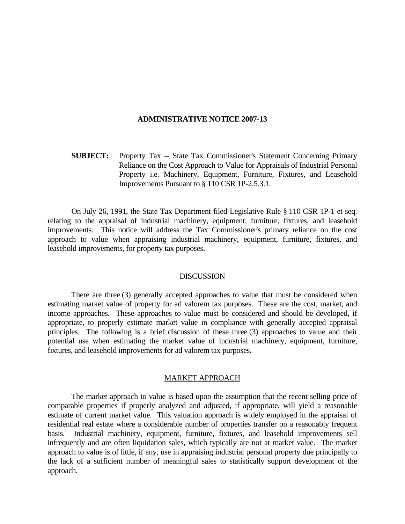### **ADMINISTRATIVE NOTICE 2007-13**

 **SUBJECT:** Property Tax -- State Tax Commissioner's Statement Concerning Primary Reliance on the Cost Approach to Value for Appraisals of Industrial Personal Property i.e. Machinery, Equipment, Furniture, Fixtures, and Leasehold Improvements Pursuant to § 110 CSR 1P-2.5.3.1.

 On July 26, 1991, the State Tax Department filed Legislative Rule § 110 CSR 1P-1 et seq. relating to the appraisal of industrial machinery, equipment, furniture, fixtures, and leasehold improvements. This notice will address the Tax Commissioner's primary reliance on the cost approach to value when appraising industrial machinery, equipment, furniture, fixtures, and leasehold improvements, for property tax purposes.

## **DISCUSSION**

 There are three (3) generally accepted approaches to value that must be considered when estimating market value of property for ad valorem tax purposes. These are the cost, market, and income approaches. These approaches to value must be considered and should be developed, if appropriate, to properly estimate market value in compliance with generally accepted appraisal principles. The following is a brief discussion of these three (3) approaches to value and their potential use when estimating the market value of industrial machinery, equipment, furniture, fixtures, and leasehold improvements for ad valorem tax purposes.

# MARKET APPROACH

 The market approach to value is based upon the assumption that the recent selling price of comparable properties if properly analyzed and adjusted, if appropriate, will yield a reasonable estimate of current market value. This valuation approach is widely employed in the appraisal of residential real estate where a considerable number of properties transfer on a reasonably frequent basis. Industrial machinery, equipment, furniture, fixtures, and leasehold improvements sell infrequently and are often liquidation sales, which typically are not at market value. The market approach to value is of little, if any, use in appraising industrial personal property due principally to the lack of a sufficient number of meaningful sales to statistically support development of the approach.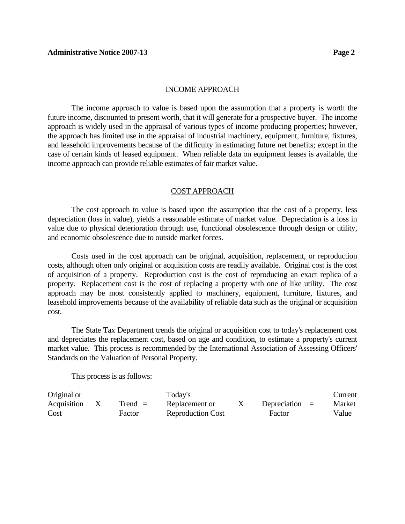#### INCOME APPROACH

 The income approach to value is based upon the assumption that a property is worth the future income, discounted to present worth, that it will generate for a prospective buyer. The income approach is widely used in the appraisal of various types of income producing properties; however, the approach has limited use in the appraisal of industrial machinery, equipment, furniture, fixtures, and leasehold improvements because of the difficulty in estimating future net benefits; except in the case of certain kinds of leased equipment. When reliable data on equipment leases is available, the income approach can provide reliable estimates of fair market value.

# COST APPROACH

 The cost approach to value is based upon the assumption that the cost of a property, less depreciation (loss in value), yields a reasonable estimate of market value. Depreciation is a loss in value due to physical deterioration through use, functional obsolescence through design or utility, and economic obsolescence due to outside market forces.

 Costs used in the cost approach can be original, acquisition, replacement, or reproduction costs, although often only original or acquisition costs are readily available. Original cost is the cost of acquisition of a property. Reproduction cost is the cost of reproducing an exact replica of a property. Replacement cost is the cost of replacing a property with one of like utility. The cost approach may be most consistently applied to machinery, equipment, furniture, fixtures, and leasehold improvements because of the availability of reliable data such as the original or acquisition cost.

 The State Tax Department trends the original or acquisition cost to today's replacement cost and depreciates the replacement cost, based on age and condition, to estimate a property's current market value. This process is recommended by the International Association of Assessing Officers' Standards on the Valuation of Personal Property.

This process is as follows:

| Original or |           | Today's                  |                  | Current |
|-------------|-----------|--------------------------|------------------|---------|
| Acquisition | $Trend =$ | Replacement or           | Depreciation $=$ | Market  |
| Cost        | Factor    | <b>Reproduction Cost</b> | Factor           | Value   |